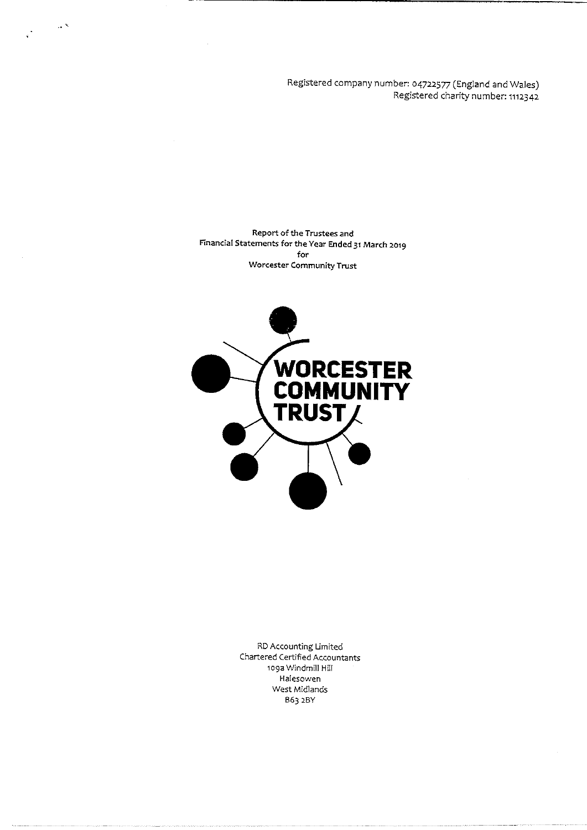Registered company number: 04722577 (England and Wales) Registered charity number: 1112342

Report of the Trustees and Financial Statements for the Year Ended 31 March 2019 for Worcester Community Trust

 $\sim$   $^{\circ}$ 



RD Accounting Limited Chartered Certified Accountants to9a Windmill Hill Halesowen West Midlands B63 2BY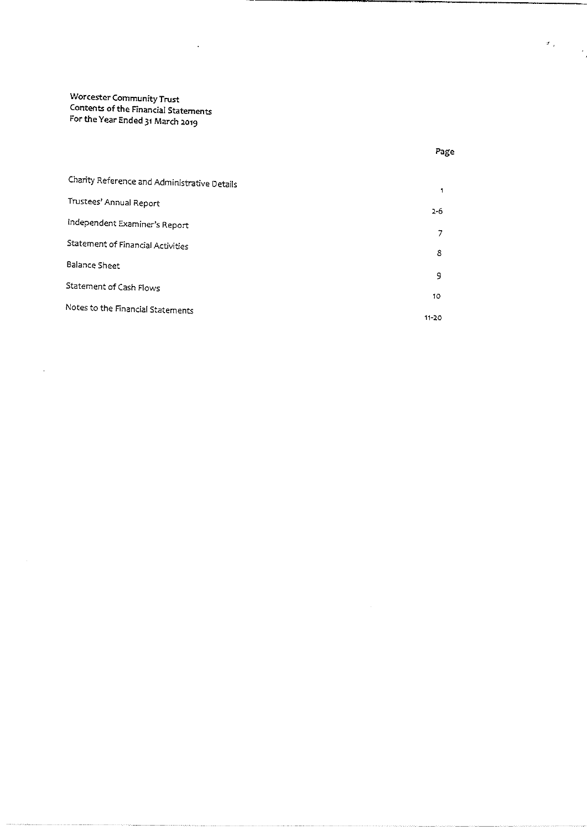$\bar{z}$ 

Charity Reference and Administrative Details  $\mathbf{1}$ Trustees' Annual Report  $2 - 6$ independent Examiner's Report  $\overline{7}$ Statement of Financial Activities  $\bf 8$ Balance Sheet  $\mathsf g$ Statement of Cash Flows 10 Notes to the Financial Statements 11-20

Page

 $\sigma_{\rm{eff}}$ 

 $\mathcal{A}$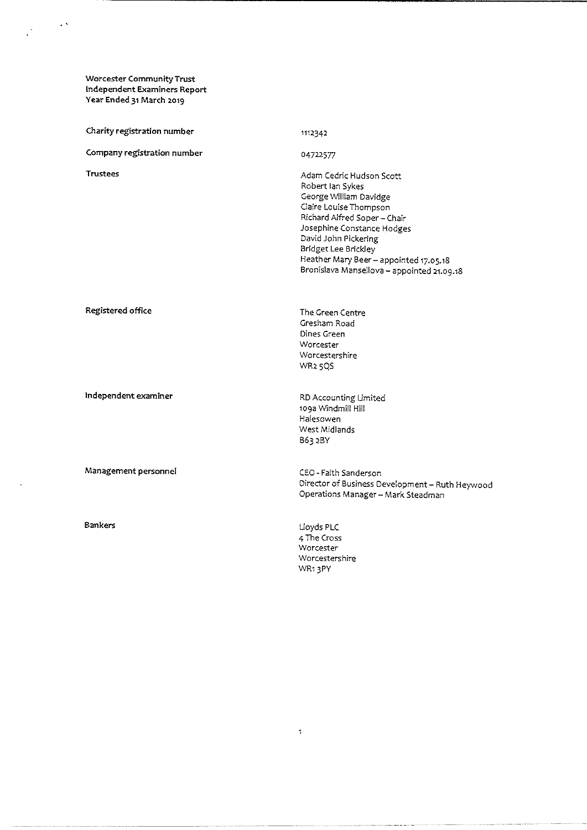$\frac{1}{\sqrt{2}}\left(1-\frac{1}{2}\right)^{\frac{1}{2}}$ 

 $\ddot{\phantom{a}}$ 

| Charity registration number | 1112342                                                                                                                                                                                                                                                                                              |
|-----------------------------|------------------------------------------------------------------------------------------------------------------------------------------------------------------------------------------------------------------------------------------------------------------------------------------------------|
| Company registration number | 04722577                                                                                                                                                                                                                                                                                             |
| <b>Trustees</b>             | Adam Cedric Hudson Scott<br>Robert Ian Sykes<br>George William Davidge<br>Claire Louise Thompson<br>Richard Alfred Soper-Chair<br>Josephine Constance Hodges<br>David John Pickering<br>Bridget Lee Brickley<br>Heather Mary Beer - appointed 17.05.18<br>Bronislava Mansellova - appointed 21.09.18 |
| Registered office           | The Green Centre<br>Gresham Road<br>Dines Green<br>Worcester<br>Worcestershire<br>WR <sub>2</sub> 5QS                                                                                                                                                                                                |
| Independent examiner        | RD Accounting Limited<br>109a Windmill Hill<br>Halesowen<br>West Midlands<br>B63 2BY                                                                                                                                                                                                                 |
| Management personnel        | CEO - Faith Sanderson<br>Director of Business Development - Ruth Heywood<br>Operations Manager - Mark Steadman                                                                                                                                                                                       |
| <b>Bankers</b>              | Lloyds PLC<br>4 The Cross<br>Worcester<br>Worcestershire<br>WR13PY                                                                                                                                                                                                                                   |
|                             |                                                                                                                                                                                                                                                                                                      |

 $\bar{1}$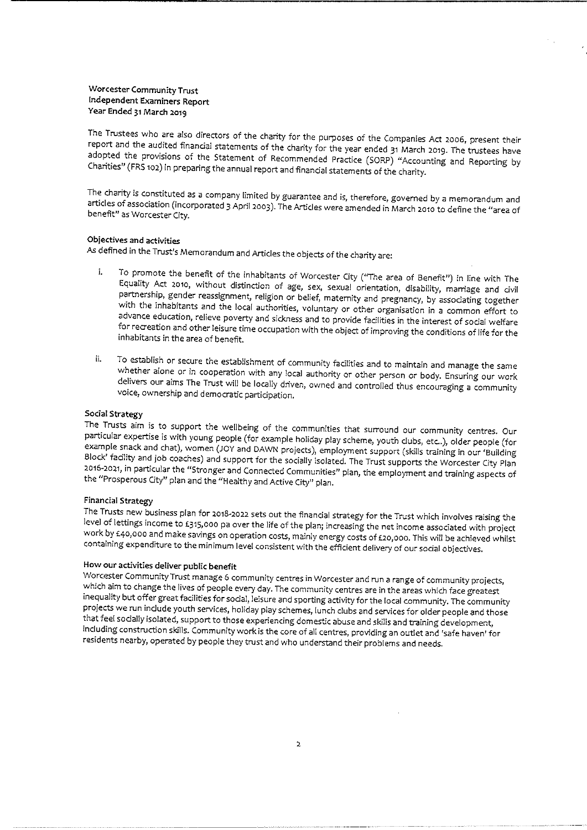The Trustees who are also directors of the charity for the purposes of the Companies Act 2006, present their<br>report and the audited financial statements of the charity for the year ended 31 March 2019. The trustees have Charities" (FRS 102) in preparing the annual report and financial statements of the charity. adopted the provisions of the Statement of Recommended Practice (SORP) "Accounting and Reporting by

The charity is constituted as a company limited by guarantee and is, therefore, governed by a memorandum and<br>articles of association (incorporated 3 April 2003). The Articles were amended in March 2010 to define the "area

#### Objectives and activities

As defined in the Trust's Memorandum and Artides the objects of the charity are:

- To promote the benefit of the inhabitants of Worcester City ("The area of Benefit") in line with The<br>Equality Act 2010, without distinction of age, sex, sexual orientation, disability, marriage and civil î. partnership, gender reassignment, religion or belief, maternity and pregnancy, by associating together with the inhabitants and the local authorities, voluntary or other organisation in a common effort to advance education
- To establish or secure the establishment of community facilities and to maintain and manage the same whether alone or in cooperation with any local authority or other person or body. Ensuring our work delivers our aims The ii.

Social Strategy<br>The Trusts aim is to support the wellbeing of the communities that surround our community centres. Our particular expertise is with young people (for example holiday play scheme, youth clubs, etc..), older people (for example snack and chat), women (JOY and DAWN projects), employment support (skills training in our 'Buildin

Financial Strategy<br>The Trusts new business plan for 2018-2022 sets out the financial strategy for the Trust which involves raising the level of lettings income to £315,000 pa over the life of the plan; increasing the net income associated with project<br>work by £40,000 and make savings on operation costs, mainly energy costs of £20,000. This will be achieve

How our activities deliver public benefit<br>Worcester Community Trust manage 6 community centres in Worcester and run a range of community projects, which aim to change the lives of people every day. The community centres are in the areas which face greatest inequality but offer great facilities for social, leisure and sporting activity for the local community. The community that feel socially isolated, support to those experiencing domestic abuse and skills and training development, including construction skills. Community work is the core of all centres, providing an outlet and 'safe haven' for residents nearby, operated by people they trust and who understand their problems and needs.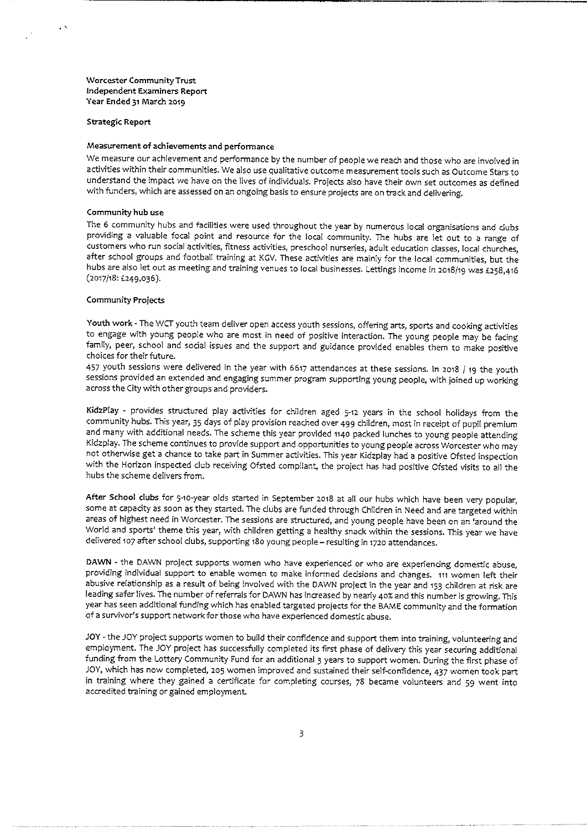Strategic Report

 $\epsilon$   $\lambda$ 

#### Measurement of achievements and performance

We measure our achievement and performance by the number of people we reach and those who are involved in activities within their communities. We also use qualitative outcome measurement tools such as Outcome Stars to understand the impact we have on the lives of individuals. Projects also have their own set outcomes as defined with funders, which are assessed on an ongoing basis to ensure projects are on track and delivering.

#### Community hub use

The 6 community hubs and facilities were used throughout the year by numerous local organisations and dubs providing a valuable focal point and resource for the local community. The hubs are let out to <sup>a</sup> range of customers who run social activities, fitness activities, preschool nurseries, adult education classes, local churches, after school groups and football training at KCV. These activities are mainly for the local communities, but the hubs are also let out as meeting and training venues to local businesses. Lettings income in 2018/19 was £258,416 (2017/18: f249,036).

#### Community Projects

Youth work - The WCT youth team deliver open access youth sessions, offering arts, sports and cooking activities to engage with young people who are most in need of positive interaction. The young people may be facing family, peer, school and sodal issues and the support and guidance provided enables them to make positive choices for their future.

<sup>457</sup> youth sessions were delivered in the year with <sup>6617</sup> attendances at these sessions. In zo18 /19 the youth sessions provided an extended and engaging summer program supporting young people, with joined up working across the City with other groups and providers.

KidzPlay - provides structured play activities for children aged 5-12 years in the school holidays from the community hubs. This year, <sup>35</sup> days of play provision reached over 499 children, most in receipt of pupil premium and many with additional needs. The scheme this year provided n4o packed lunches to young people attending Kidzplay. The scheme continues to provide support and opportunities to young people across Worcester who may not otherwise get <sup>a</sup> chance to take part in Summer activities. This year Kidzplay had <sup>a</sup> positive Ofsted inspection with the Horizon inspected club receiving Ofsted compliant, the project has had positive Ofsted visits to all the hubs the scheme delivers from.

After School clubs for 5-10-year olds started in September 2018 at all our hubs which have been very popular, some at capacity as soon as they started. The dubs are funded through Children in Need and are targeted within areas of highest need in Worcester. The sessions are structured, and young people have been on an 'around the World and sports' theme this year, with children getting <sup>a</sup> healthy snack within the sessions. This year we have delivered 107 after school clubs, supporting 180 young people - resulting in 1720 attendances.

DAWN - the DAWN project supports women who have experienced or who are experiencing domestic abuse, providing individual support to enable women to make informed decisions and changes. 111 women left their abusive relationship as <sup>a</sup> result of being involved with the DAWN project in the year and <sup>153</sup> children at risk are leading safer lives. The number of referrals for DAWN has increased by nearly 40% and this number is growing. This year has seen additiona( funding which has enabled targeted projects for the BAME community and the formation of <sup>a</sup> survivor's support network for those who have experienced domestic abuse.

JOY - the JOY project supports women to build their confidence and support them into training, volunteering and employment. The JOY project has successfully completed its first phase of delivery this year securing additional funding from the Lottery Community Fund for an additional 3 years to support women. During the first phase of JOY, which has now completed, zo5 women improved and sustained their self-confidence, 437 women took part in training where they gained a certificate for completing courses, <sup>78</sup> became volunteers and 59 went into accredited training or gained employment.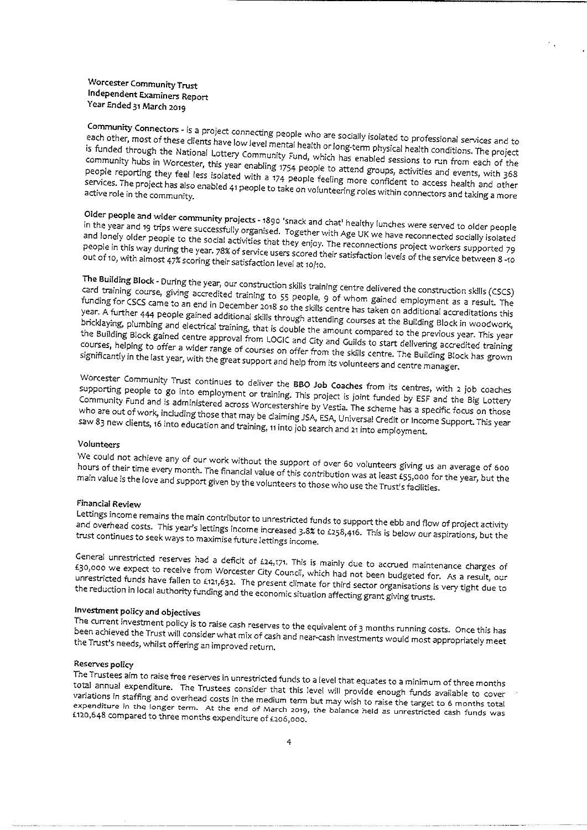Community Connectors - is a project connecting people who are socially isolated to professional services and to<br>each other, most of these clients have low level mental health or long-term abusies', by Ni is funded through the National Lo each other, most of these clients have low level mentain gh the National Lottery Community Fund, which has enabled sessions to run from each of the<br>gh the National Lottery Community Fund, which has enabled sessions to run from each of the<br>s in Worcester, this year enabling 1754 I community hubs in Worcester, this year enabling 1754 people to attend groups, activities and events, with 368<br>People reporting they feel less isolated with a 174 people feeling more confident to assessed in the year of ' people reporting they feel less isolated with a 174 people feeling more confident to access health and other services. The project has also enabled 41 people to take on volunteering roles within connectors and taking a mor

Older people and wider community projects - 1890 'snack and chat' healthy lunches were served to older people<br>in the year and 19 trips were successfully organised. Together with Age UK we be an the year and 19 trips were successfully organised. Together with Age UK we have reconnected socially isolate<br>and lonely older people to the social activities that they enjoy. The reconnections project werkens and the so and forlery ofder people to the social activities that they enjoy. The reconnections project workers supported<br>People in this way during the year. 78% of service users scored their satisfactions house a fall people in this way during the year. 78% of services that they enjoy. The reconnections project workers supported 79<br>Out of 10, with almost 47% scoring their satisfaction level at 10/10.

The Building Block - During the year, our<br>Card training The Building Block - During the year, our construction skills training centre delivered the construction skills (CSCS)<br>card training course, giving accredited training to 55 people, 9 of whom gained employment as a result. year. A further 444 people gained additional skills through attending courses at the Buildinal accreditations thi<br>bricklaying, plumbing and electrical training, that is double the ding courses at the Building Block in wood funding for CSCS came to an end in December 2018 so the skills centre has taken on additional accreditations this the Building Block gained centre approval from LOGIC and City and Guilds to start delivering accredited training bricklaying, plumbing and electrical training, that is double the amount compared to the previous year. This year courses, helping to offer a wider range of courses on offer from the skills centre. The Building Block has grow<br>Significantly in the last year, with the great support and help from its volunteers and such a Building Block significantly in the last year, with the great support and help from its volunteers and centre manager.

Worcester Community Trust continues to deliver the BBO Job Coaches from its centres, with 2 job coach<br>Supporting people to go into employment or training. This project is injuried. ' sapporung p<br>Community F Fund ple and to is Community Fund and is administered across Worcestershire by Vestia. The scheme has a specific focus on those saw 83 new clients, 16 into education and training, 11 into job search and 21 into employment. induding ncluding those that may be claiming JSA, ESA, Universal Credit or Income Support. This year<br>into education and training, 11 into job search and 21 into employment. is year

#### Volunteers

We hour could of thei not time achiev eve any of our work without the support of over 60 volunteers giving us an average of 600<br>every month. The financial value of this contribution was at least factor of a verage of 600 main value is the love and support given by the volunteers to those who use the Trust's facilities. hours of their time every month. The financial value of this contribution was at least  $\tilde{L}$ 55,000 for the year, but the

#### Financial Review

and Letting overhea income remains the main contributor to unrestricted funds to support the ebb and flow of project activit<br>head costs. This year's lettings income increased a 3% to see 0. costs. This year's lettings income increased 3.8% to £258,416. This is below our aspirations, but the<br>sto seek ways to maximise future lettings income. trust continues to seek ways to maximise future lettings income.

tgo, ooo we General unrestricted reserves had a deficit of £24,171. This is mainly due to accrued maintenance charges of<br>£30,000 we expect to receive from Worcester City Council which had the corrued maintenance charges of £30,000 we expect to receive from Worcester City Council, which had not been budgeted for. As a result, our<br>Unrestricted funds have fallen to £121.632. The present climate facation is a mudgeted for. As a result, our the reduction funds have fallen to £121,632. The present climate for third sector organisations is very tight due to<br>in local authority funding and the economic situation affecting grant giving trusts. the reduction in local authority funding and the economic situation affecting grant giving trusts.

#### Investment policy and objectives

The curren been achieve The current investment policy is to raise cash reserves to the equivalent of 3 months running costs. Once this ha:<br>been achieved the Trust will consider what mix of cash and near-cash investments would most appropriately m

#### Reserves policy

The Trustees aim to raise free reserves in unrestricted funds to a level that equates to a minimum of three months variations in staffing and overhead costs in the medium term but may wish to raise the target to <sup>6</sup> months total annual expenditure. The Trustees consider that this level will provide enough funds available to cover expenditure in the longer term. At the end of March 2019, the balance held as unrestricted cash funds was<br>£120,648 compared to three months expenditure of £206,000. £120,648 compared to three months expenditure of £206,000.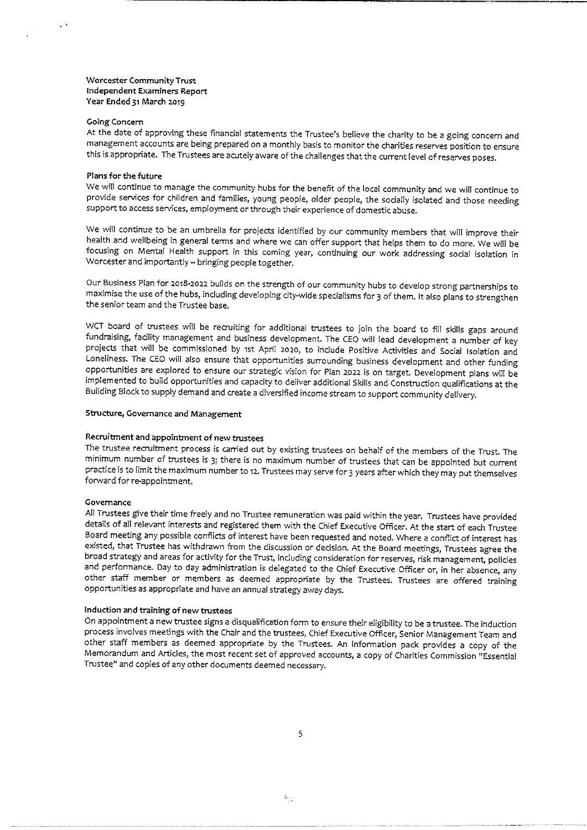#### Going Concern

At the date of approving these financial statements the Trustee's believe the charity to be <sup>a</sup> going concern and management accounts are being prepared on <sup>a</sup> monthly basis to monitor the charities reserves position to ensure this is appropriate. The Trustees are acutely aware of the challenges that the current level of reserves poses.

#### Plans for the future

We will continue to manage the community hubs for the benefit of the local community and we will continue to provide services for children and families, young people, older people, the sodaliy isolated and those needing support to access services, employment or through their experience of domestic abuse.

We will continue to be an umbrella for projects identified by our community members that will improve their health and weilbeing in general terms and where we can offer support that helps them to do more. We will be focusing on Mental Health support in this coming year, continuing our work addressing sodal isolation in Worcester and importantly - bringing people together.

Our Business Plan for 2018-2022 builds on the strength of our community hubs to develop strong partnerships to maximise the use of the hubs, including developing city-wide specialisms for 3 of them. It also plans to strengthen the senior team and the Trustee base.

wCT board of trustees will be recruiting for additional trustees to join the board to fill skills gaps around fundraising, facility management and business development. The CEO will lead development <sup>a</sup> number of key projects that will be commissioned by 1st April 2020, to include Positive Activities and Social Isolation and Loneliness. The CEO will also ensure that opportunities surrounding business development and other funding opportunities are explored to ensure our strategic vision for Plan 2022 is on target. Development plans will be implemented to build opportunities and capacity to deliver additional Skills and Construction qualifications at the Building Block to supply demand and create <sup>a</sup> diversified income stream to support community delivery.

#### Structure, Governance and Management

#### Recruitment and appointment of new trustees

The trustee recruitment process is carried out by existing trustees on behalf of the members of the Trust. The minimum number of trustees is S; there is no maximum number of trustees that can be appointed but current practice is to limit the maximum number to 12. Trustees may serve for 3 years after which they may put themselves forward for re-appointment.

#### Governance

All Trustees give their time freely and no Trustee remuneration was paid within the year. Trustees have provided details of all relevant interests and registered them with the Chief Executive Officer. At the start of each Trustee Board meeting any possible conflicts of interest have been requested and noted. Where <sup>a</sup> conflict of interest has existed, that Trustee has withdrawn from the discussion or decision. At the Board meetings, Trustees agree the broad strategy and areas for activity for the Trust, Induding consideration for reserves, risk management, policies and performance. Day to day administration is delegated to the Chief Executive Officer or, in her absence, any other staff member or members as deemed appropriate by the Trustees. Trustees are offered training opportunities as appropriate and have an annual strategy away days.

#### Induction and training of new trustees

On appointment a new trustee signs a disqualification form to ensure their eligibility to be <sup>a</sup> trustee. The induction process involves meetings with the Chair and the trustees, Chief Executive Officer, Senior Management Team and other staff members as deemed appropriate by the Trustees. An information pack provides <sup>a</sup> copy of the Memorandum and Articles, the most recent set of approved accounts, a copy of Charities Commission "Essential Trustee" and copies of any other documents deemed necessary.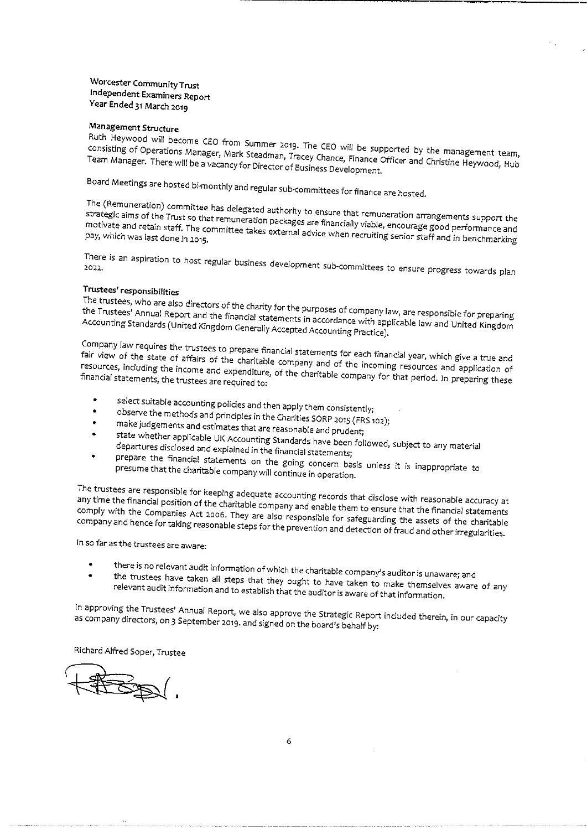### Management Structure

Ruth Heywood will become CEO from Summer 2019. The CEO will be supported by the management team,<br>consisting of Operations Manager, Mark Steadman, Tracey Chance, Finance Officer and Christine Heywood, Hub<br>Team Manager. Ther consisting of Operations Manager, Mark Steadman, Tracey Chance, Finance Officer and Christine Heywood, Hub

Board Meetings are hosted bi-monthly and regular subcommittees for finance are hosted.

The (Remuneration) committee has delegated authority to ensure that remuneration arrangements support the<br>strategic aims of the Trust so that remuneration packages are financially viable, encourage good performance anc<br>mot eration packages are financi mouvate and retain staff. The committee takes external advice when recruiting senior staff and in benchmance a<br>Pay, which was last done in 2015. of minite are nosted.<br>that remuneration arrangements support that remuneration arrangements support that<br>ally viable, encourage good performance are

There is an aspiration to host regular business development sub-committees to ensure progress towards plan

#### Trustees' responsibilities

The trustees, who are also directors of the charity for the purposes of company law, are responsible for preparin<br>the Trustees' Annual Report and the financial statements in accordance with analisable for ................. end thus deels. Annual Report and the financial statements in accordance with applicable law and United Kingdom<br>Accounting Standards (United Kingdom Generally Accepted Accounting Dr. 2001) Accounting Standards (United Kingdom Generally Accepted Accounting Practice).

Company law requires the trustees to prepare financial statements for each financial year, which give a true and<br>fair view of the state of affairs of the charitable company and of the insured in the state of the strue and fair view of the state of affairs of the charitable company and of the incoming resources and application of resources, including the income and expenditure, of the charitable company for that period. In preparing these fi The view of the state of affairs of the charitable company and of the incoming resources, including the income and expenditure, of the charitable company for that period. In preparing these financial statements, the truste

- 
- select suitable accounting policies and then apply them consistently;<br>observe the methods and principles in the Charities SORP 2015 (FRS 102);<br>make judgements and estimates that are reasonable and prudent;
- 
- 
- departure state whether applicable UK Accounting Standards have been followed, subject to any material<br>departures disclosed and explained in the financial statements;<br>prenare, the financial state departures disclosed and explained in the financial statements;
- prepare the financial statements on the going concern basis unless it is inappropriate to presume that the charitable company will continue in operation.

The trustees are responsible for keeping adequate accounting records that disclose with reasonable accuracy at<br>any time the financial position of the charitable company and enable there to disclose with reasonable accuracy comply with the Companie position of the charitable company and enable them to ensure that the financial statement<br>panies Act 2006. They are also recognitive form to ensure that the financial statement compry with the Companies Act<br>company and hence for taking re company and hence for taking reasonable steps for the prevention and detection of fraud and other irregularities.

In so far as the trustees are aware:

- there is no relevant audit information of which the charitable company's auditor is unaware; and  $\bullet$
- relevar trustees have taken all steps that they ought to have taken to make themselves aware of any<br>ant audit information and to establish that the auditor is aware of that information. audit informatic

as In approving company directors, the Trustees' Annual Report, we also approve the Strategic Report induded therein, in our capacit<br>irectors, on 3 September 2019. and signed on the board's behalf by: as company directors, on 3 September 2019. and signed on the board's behalf by:

Richard Alfred Soper, Trustee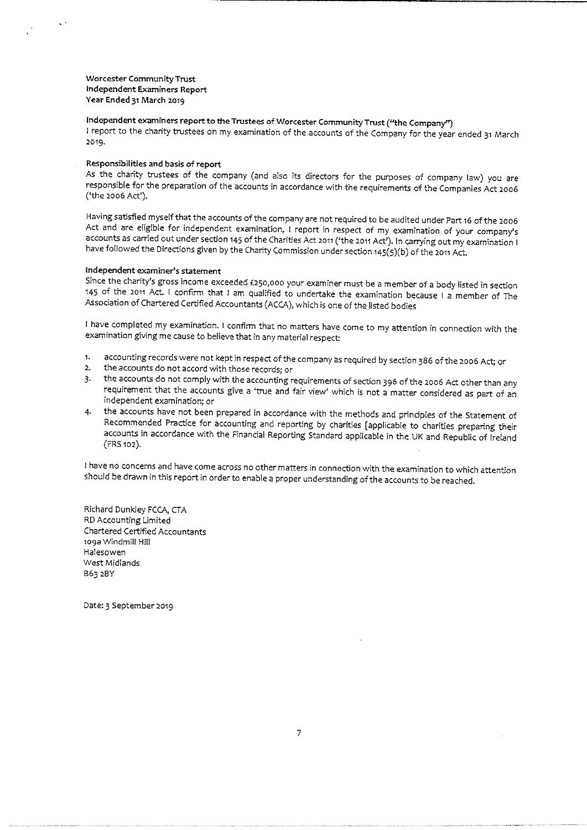Independent examiners report to the Trustees of Worcester Community Trust ("the Company")

<sup>I</sup> report to the charity trustees on my examination of the accounts of the Company for the year ended <sup>31</sup> March 2019.

#### Responsibilities and basis of report

As the charity trustees of the company (and also its directors for the purposes of company law) you are responsible for the preparation of the accounts in accordance with the requirements of the Companies Act 2oo6 ('the 2oo6 Act').

Having satisfied myself that the accounts of the company are not required to be audited under Part <sup>16</sup> of the 2oo6 Act and are eligible for independent examination, <sup>I</sup> report in respect of my examination of your company's accounts as carried out under section 145 of the Charities Act 2011 ('the 2011 Act'). In carrying out my examination I have followed the Directions given by the Charity Commission under section 145(5)(b) of the 2011 Act.

#### Independent examiner's statement

Since the charity's gross income exceeded £250,000 your examiner must be a member of a body listed in section <sup>163</sup> of the 2O11 Act. <sup>I</sup> confirm that <sup>I</sup> am qualified to undertake the examination because <sup>I</sup> <sup>a</sup> member of The Association of Chartered Certified Accountants (ACCA), which is one of the listed bodies

<sup>I</sup> have completed my examination. <sup>I</sup> confirm that no matters have come to my attention in connection with the examination giving me cause to believe that in any material respect:

- 1. accounting records were not kept in respect of the company as required by section 386 of the 2006 Act; or<br>the accounts do not accord with those records; or
- $2.$
- 3. the accounts do not comply with the accounting requirements of section <sup>396</sup> of the 2oo6 Act other than any requirement that the accounts give a 'true and fair view' which is not a matter considered as part of an independent examination; or
- the accounts have not been prepared in accordance with the methods and prindpies of the Statement of Recommended Practice for accounting and reporting by charities [applicable to charities preparing their accounts in accordance with the Financial Reporting Standard applicable in the UK and Republic of Ireland (FPS 1o2).

<sup>I</sup> have no concerns and have come across no other matters in connection with the examination to which attention should be drawn in this report in order to enable a proper understanding of the accounts to be reached.

Richard Dunkley FCCA, CTA RD Accounting Limited Chartered Certified Accountants 1o9a Windmill Hill Halesowen West Midlands B63 2BY

Date: 3 September 2019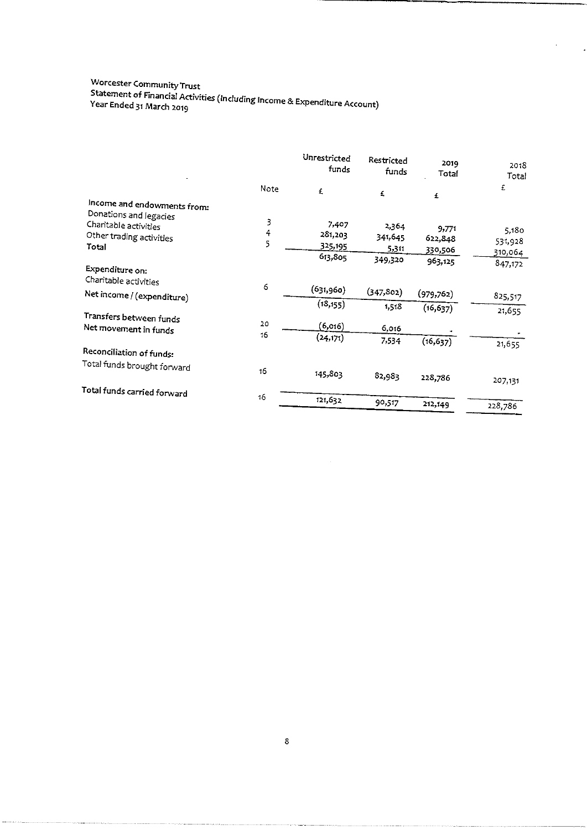# Worcester Community Trus<br>Chai Statement of Financial Activities (Including Income & Expenditure Account<br>Year Ended 31 March 2019

|                                                       |          | Unrestricted<br>funds | Restricted<br>funds | 2019<br>Total | 2018<br><b>Total</b> |
|-------------------------------------------------------|----------|-----------------------|---------------------|---------------|----------------------|
|                                                       | Note     | £                     | £                   | £             | £                    |
| Income and endowments from:<br>Donations and legacies |          |                       |                     |               |                      |
| Charitable activities                                 | 3        | 7,407                 | 2,364               | 9,771         |                      |
| Other trading activities                              | 4        | 281,203               | 341,645             | 622,848       | 5,180                |
| Total                                                 | 5        | 325,195               | 5,311               | 330,506       | 531,928              |
|                                                       |          | 613,805               | 349,320             |               | 310,064              |
| Expenditure on:<br>Charitable activities              |          |                       |                     | 963,125       | 847,172              |
| Net income / (expenditure)                            | 6        | (631,960)             | (347, 802)          | (979, 762)    | 825,517              |
|                                                       |          | (18, 155)             | 1,518               | (16, 637)     | 21,655               |
| Transfers between funds<br>Net movement in funds      | 20<br>16 | (6,016)               | 6,016               |               |                      |
|                                                       |          | (24, 171)             | 7,534               | (16, 637)     | 21,655               |
| Reconciliation of funds:                              |          |                       |                     |               |                      |
| Total funds brought forward                           | 16       | 145,803               | 82,983              | 228,786       | 207.131              |
| Total funds carried forward                           |          |                       |                     |               |                      |
|                                                       | 16       | 121,632               | 90,517              | 212,149       | 228,786              |
|                                                       |          |                       |                     |               |                      |

 $\ddot{\phantom{0}}$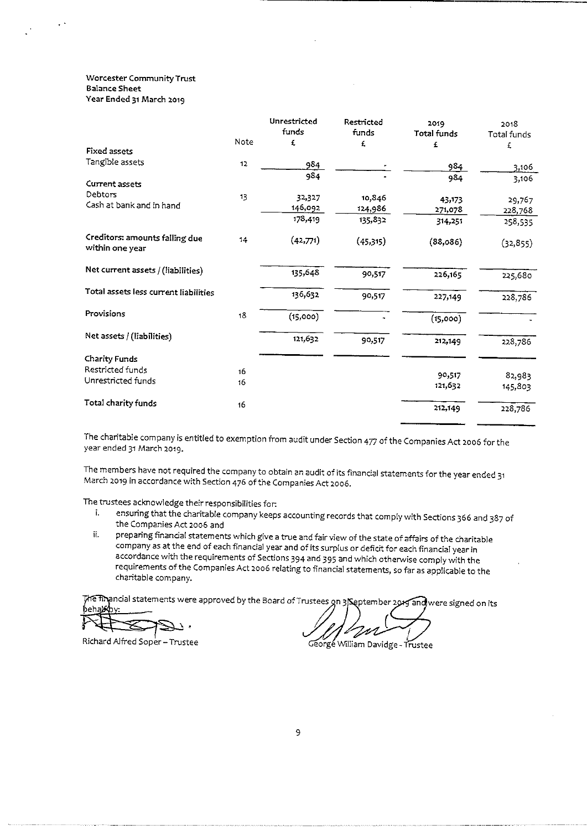#### Worcester Community Trust Balance Sheet Year Ended 31 March 2o19

|                                                   |      | Unrestricted | Restricted | 2019               | 2018        |
|---------------------------------------------------|------|--------------|------------|--------------------|-------------|
|                                                   |      | funds        | funds      | <b>Total funds</b> | Total funds |
| <b>Fixed assets</b>                               | Note | £            | £,         | £                  | £           |
|                                                   |      |              |            |                    |             |
| Tangible assets                                   | 12   | 984          |            | 984                | 3,106       |
| Current assets                                    |      | 984          |            | 984                | 3,106       |
|                                                   |      |              |            |                    |             |
| Debtors                                           | 13   | 34,327       | 10,846     | 43,173             | 29,767      |
| Cash at bank and in hand                          |      | 146,092      | 124,986    | 271,078            | 228,768     |
|                                                   |      | 178,419      | 135,832    | 314,251            | 258,535     |
| Creditors: amounts falling due<br>within one year | 14   | (42,771)     | (45,315)   | (88,086)           | (32, 855)   |
| Net current assets / (liabilities)                |      | 135,648      | 90,517     | 226,165            | 225,680     |
| Total assets less current liabilities             |      | 136,632      | 90,517     | 227,149            | 228,786     |
| Provisions                                        | 18   | (15,000)     |            | (15,000)           |             |
| Net assets / (liabilities)                        |      | 121,632      | 90,517     | 212,149            | 228,786     |
| <b>Charity Funds</b>                              |      |              |            |                    |             |
| Restricted funds                                  | 16   |              |            |                    |             |
| Unrestricted funds                                | 16   |              |            | 90,517             | 82,983      |
|                                                   |      |              |            | 121,632            | 145,803     |
| Total charity funds                               | 16   |              |            | 212,149            | 228,786     |

The charitable company is entitled to exemption from audit under Section <sup>477</sup> of the Companies Act 2oo6 for the year ended 31 March 2o19.

The members have not required the company to obtain an audit of its financial statements for the year ended 31<br>March 2019 in accordance with Section 476 of the Companies Act 2006.

The trustees acknowledge their responsibilities for.

- ensuring that the charitable company keeps accounting records that comply with Sections <sup>366</sup> and <sup>387</sup> of the companies Act 2oo6 and
- preparing financial statements which give a true and fair view of the state of affairs of the charitable ii. company as at the end of each financial year and of its surplus or deficit for each financial year in accordance with the requirements of Sections 394 and <sup>395</sup> and which otherwise comply with the requirements of the Companies Act 2oo6 relating to financial statements, so far as applicable to the charitable company.

behak The financial statements were approved by the Board of Trustees on 3 September 2015 and were signed on its

Richard Alfred Soper-Trustee enter the Corresponding Corresponding to the Corresponding Prustee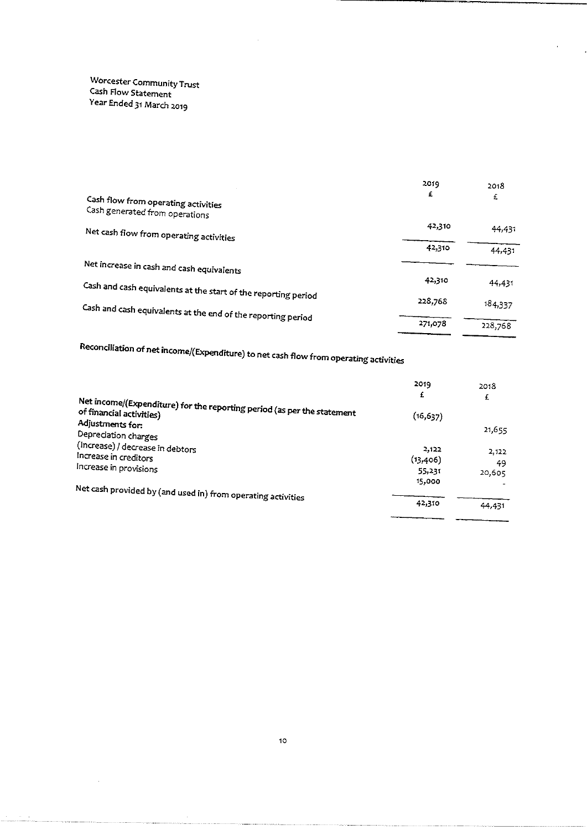Worcester Community Trus<br>Cash H Cash Flow Statemer Year Ended 31 March 2019

| Cash flow from operating activities<br>Cash generated from operations | 2019<br>£ | 2018<br>£ |
|-----------------------------------------------------------------------|-----------|-----------|
| Net cash flow from operating activities                               | 42,310    | 44,431    |
|                                                                       | 42,310    | 44,431    |
| Net increase in cash and cash equivalents                             |           |           |
| Cash and cash equivalents at the start of the reporting period        | 42,310    | 44,431    |
| Cash and cash equivalents at the end of the reporting period          | 228,768   | 184,337   |
|                                                                       | 271,078   | 228,768   |

Recondliation of net income/(Expenditure) to net cash flow from operating activities

|                                                                                                                         | 2019      | 2018   |
|-------------------------------------------------------------------------------------------------------------------------|-----------|--------|
|                                                                                                                         | £         | £      |
| Net income/(Expenditure) for the reporting period (as per the statement<br>of financial activities)<br>Adjustments for: | (16, 637) |        |
| Depreciation charges                                                                                                    |           | 21,655 |
| (Increase) / decrease in debtors                                                                                        | 2,122     | 2,122  |
| Increase in creditors                                                                                                   | (13,406)  | 49     |
| Increase in provisions                                                                                                  | 55.231    | 20,605 |
|                                                                                                                         | 15,000    |        |
| Net cash provided by (and used in) from operating activities                                                            |           |        |
|                                                                                                                         | 42,310    | 44.431 |
|                                                                                                                         |           |        |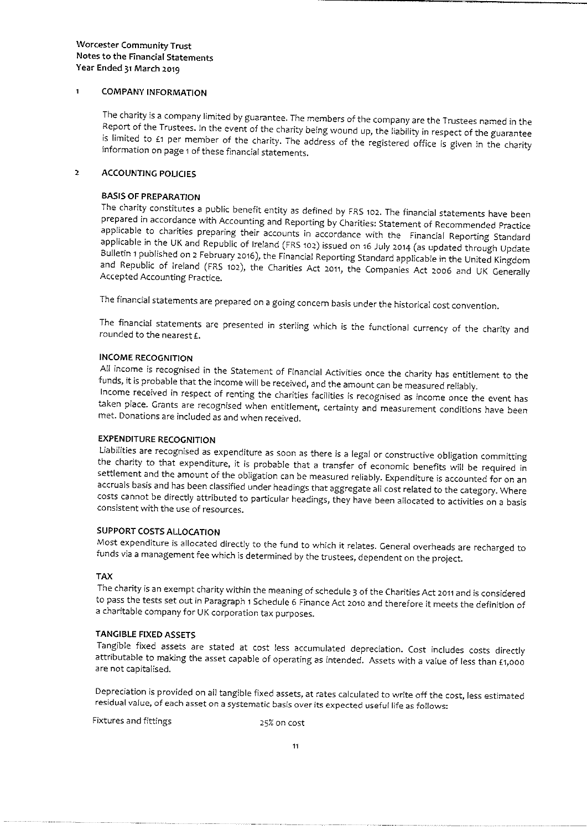#### $\ddot{\mathbf{1}}$ COMPANY INFORMATION

The charity is a company limited by guarantee. The members of the company are the Trustees named in the Report of the Trustees. In the event of the charity being wound up, the liability in respect of the guarantee is limit

#### 2 ACCOUNTING POUCIES

BASIS OF PREPARATION<br>The charity constitutes a public benefit entity as defined by FRS 102. The financial statements have been prepared in accordance with Accounting and Reporting by Charities: Statement of Recommended Practice<br>applicable to charities preparing their accounts in accordance with the Financial Reporting Standard<br>applicable in the UK

The financial statements are prepared on <sup>a</sup> going concern basis under the historical cost convention.

The financial statements are presented in sterling which is the functional currency of the charity and rounded to the nearest  $E$ .

INCOME RECOGNITION<br>All income is recognised in the Statement of Financial Activities once the charity has entitlement to the

funds, it is probable that the income will be received, and the amount can be measured reliably.<br>Income received in respect of renting the charities facilities is recognised as income once the event has taken place. Grants

**EXPENDITURE RECOGNITION**<br>Liabilities are recognised as expenditure as soon as there is a legal or constructive obligation committing the charity to that expenditure, it is probable that a transfer of economic benefits will be required in settlement and the amount of the obligation can be measured reliably. Expenditure is accounted for on an accruals bas

#### SUPPORT COSTS ALLOCATION

Most expenditure is allocated directly to the fund to which it relates. General overheads are recharged to funds via <sup>a</sup> management fee which is determined by the trustees, dependent on the project.

#### TAX

The charity is an exempt charity within the meaning of schedule <sup>S</sup> of the Charities Act <sup>2011</sup> and is considered to pass the tests set out in Paragraph 1 Schedule 6 Finance Act 2010 and therefore it meets the definition of a charitable company for UK corporation tax purposes.

TANGIBLE FIXED ASSETS<br>Tangible fixed assets are stated at cost less accumulated depreciation. Cost includes costs directly attributable to making the asset capable of operating as intended. Assets with a value of less than £1,000 are not capitalised.

Depreciation is provided on ail tangible fixed assets, at rates calculated to write off the cost, less estimated residual value, of each asset on <sup>a</sup> systematic basis over its expected useful life as follows:

Fixtures and fittings 25% on cost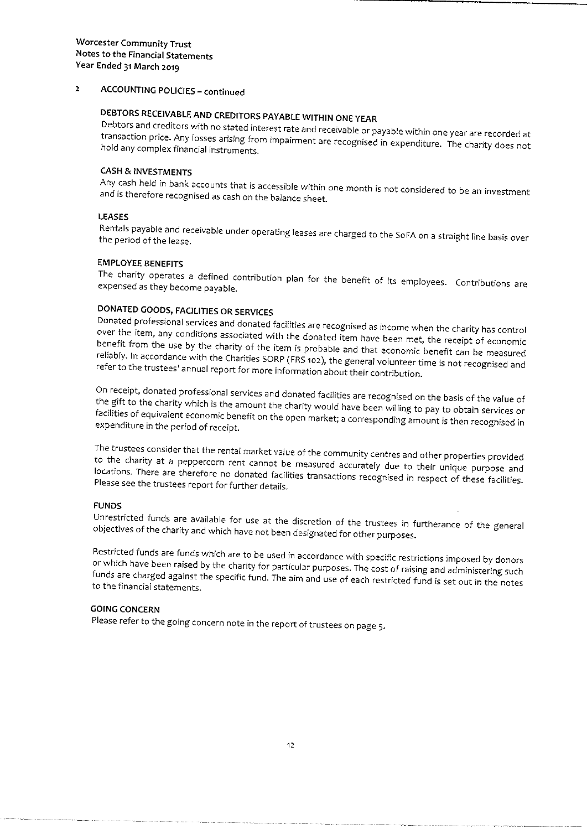#### ACCOUNTING POUCIES —continued  $\overline{a}$

DEBTORS RECEIVABLE AND CREDITORS PAYABLE WITHIN ONE YEAR<br>Debtors and creditors with no stated interest rate and receivable or payable within one year are recorded at hold any complex financial instruments. transaction price. Any losses arising from impairment are recognised in expenditure. The charity does not

### **CASH & INVESTMENTS**

Any cash held in bank accounts that is accessible within one month is not considered to be an investmei<br>and is therefore recognised as cash on the balance sheet. and is therefore recognised as cash on the balance sheet.

#### LEASES

Rentals payable and receivable under operating leases are charged to the SoFA on <sup>a</sup> straight line basis over the period of the lease.

#### EMPLOYEE BENEFITS

The charity operates <sup>a</sup> defined contribution plan for the benefit of its employees. Contributions are expensed as they become payable.

DONATED GOODS, FACILITIES OR SERVICES<br>Donated professional services and donated facilities are recognised as income when the charity has control over Donated professional services and donated facilities are recognised as income when the charity has contro<br>over the item, any conditions associated with the donated item have been met, the receipt of economic<br>benefit from t refer to the trustees' annual report for more information about their contribution. benefit from the use by the charity of the item is probable and that economic benefit can be measured reliably. In accordance with the Charities SORP (FRS 102), the general volunteer time is not recognised and

On receipt, donated professional services and donated facilities are recognised on the basis of the value of<br>the gift to the charity which is the amount the charity would have been willing to pay to obtain services or<br>faci

The trustees consider that the rental market value of the community centres and other properties provided<br>to the charity at a peppercorn rent cannot be measured accurately due to their unique purpose and<br>locations. There a

#### FUNDS

Unrestricted funds are available for use at the discretion of the trustees in furtherance of the general objectives of the charity and which have not been designated for other purposes.

Restricted funds are funds which are to be used in accordance with specific restrictions imposed by donors<br>or which have been raised by the charity for particular purposes. The cost of raising and administering such<br>funds

#### GOING CONCERN

Please refer to the going concern note in the report of trustees on page S.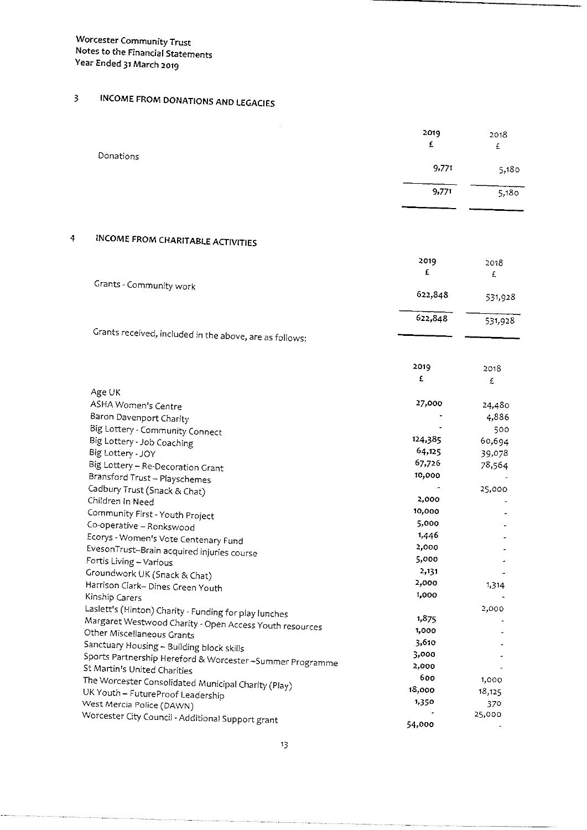$\overline{4}$ 

# <sup>3</sup> INCOME FROM DONATIONS AND LEGACIES

EvesonTrust-Brain acquired injuries course

|                                                         | 2019<br>£ | 2018<br>£ |
|---------------------------------------------------------|-----------|-----------|
| Donations                                               | 9,771     | 5,180     |
|                                                         | 9,771     | 5,180     |
|                                                         |           |           |
| INCOME FROM CHARITABLE ACTIVITIES                       |           |           |
|                                                         | 2019      | 2018      |
|                                                         | £         | £         |
| Grants - Community work                                 |           |           |
|                                                         | 622,848   | 531,928   |
|                                                         | 622,848   | 531,928   |
| Grants received, included in the above, are as follows: |           |           |
|                                                         |           |           |
|                                                         | 2019      | 2018      |
|                                                         | £         | £         |
| Age UK                                                  |           |           |
| ASHA Women's Centre                                     | 27,000    | 24,480    |
| Baron Davenport Charity                                 |           | 4,886     |
| Big Lottery - Community Connect                         |           | 500       |
| Big Lottery - Job Coaching                              | 124,385   | 60,694    |
| Big Lottery - JOY                                       | 64.125    | 39,078    |
| Big Lottery - Re-Decoration Grant                       | 67,726    | 78,564    |
| Bransford Trust - Playschemes                           | 10,000    |           |
| Cadbury Trust (Snack & Chat)                            |           | 25,000    |
| Children in Need                                        | 2,000     |           |
| Community First - Youth Project                         | 10,000    |           |
| Co-operative - Ronkswood                                | 5,000     |           |
| Ecorys - Women's Vote Centenary Fund                    | 1,446     |           |
|                                                         |           |           |

| אלוממט כטווחו היווחו באיי ווהוא<br>Fortis Living - Various                                                                                                                                                                                                                              | 5,000                                     |                                   |
|-----------------------------------------------------------------------------------------------------------------------------------------------------------------------------------------------------------------------------------------------------------------------------------------|-------------------------------------------|-----------------------------------|
| Groundwork UK (Snack & Chat)                                                                                                                                                                                                                                                            | 2,131                                     | ۰                                 |
| Harrison Clark- Dines Green Youth                                                                                                                                                                                                                                                       | 2,000                                     | 1,314                             |
| Kinship Carers                                                                                                                                                                                                                                                                          | 1,000                                     | $\overline{\phantom{a}}$          |
| Laslett's (Hinton) Charity - Funding for play lunches<br>Margaret Westwood Charity - Open Access Youth resources<br>Other Miscellaneous Grants<br>Sanctuary Housing - Building block skills<br>Sports Partnership Hereford & Worcester-Summer Programme<br>St Martin's United Charities | 1,875<br>1,000<br>3,610<br>3,000<br>2,000 | 2,000<br>$\tilde{\phantom{a}}$    |
| The Worcester Consolidated Municipal Charity (Play)<br>UK Youth - FutureProof Leadership<br>West Mercia Police (DAWN)<br>Worcester City Council - Additional Support grant                                                                                                              | 600<br>18,000<br>1,350<br>54,000          | 1,000<br>18,125<br>370.<br>25,000 |

2,000

 $\Box$ l.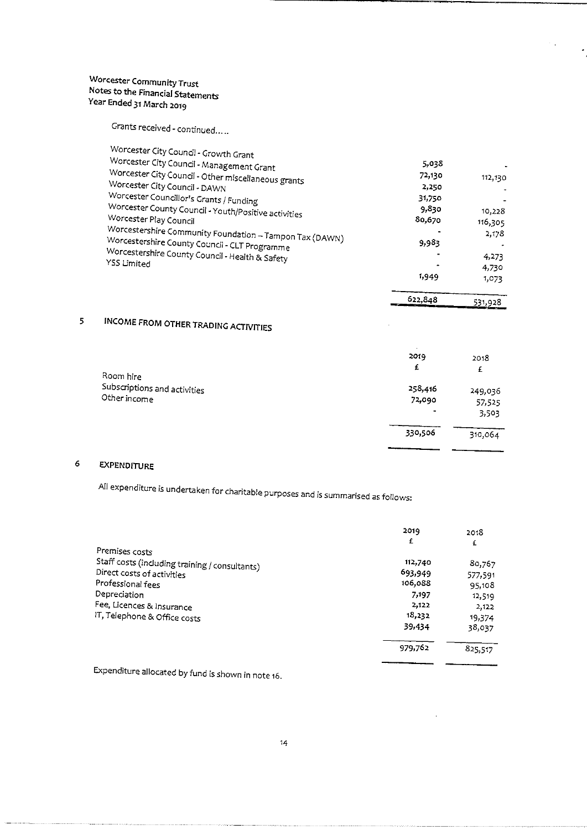Grants received - continued. ..

| Worcester City Council - Growth Grant<br>Worcester City Council - Management Grant<br>Worcester City Council - Other miscellaneous grants<br>Worcester City Council - DAWN<br>Worcester Councillor's Grants / Funding<br>Worcester County Council - Youth/Positive activities<br>Worcester Play Council<br>Worcestershire Community Foundation - Tampon Tax (DAWN)<br>Worcestershire County Council - CLT Programme<br>Worcestershire County Council - Health & Safety<br>YSS Limited | 5,038<br>72,130<br>2,250<br>31,750<br>9,830<br>80,670<br>9,983<br>1,949 | 112,130<br>10,228<br>116,305<br>2,178<br>4.273<br>4,730<br>1,073 |
|---------------------------------------------------------------------------------------------------------------------------------------------------------------------------------------------------------------------------------------------------------------------------------------------------------------------------------------------------------------------------------------------------------------------------------------------------------------------------------------|-------------------------------------------------------------------------|------------------------------------------------------------------|
|                                                                                                                                                                                                                                                                                                                                                                                                                                                                                       |                                                                         |                                                                  |

 $\mathcal{P}(\mathbf{x})$ 

 $\ddot{\phantom{0}}$ 

|  | 622,848 |         |
|--|---------|---------|
|  | . .     | 531,928 |
|  |         |         |
|  |         |         |

 $\mathcal{A}^{\mathcal{A}}$ 

 $\ddot{\phantom{a}}$ 

 $\mathcal{A}$ 

#### INCOME FROM OTHER TRADING ACTIVITIES  $\overline{5}$

|                              | 2019<br>£ | 2018<br>£ |
|------------------------------|-----------|-----------|
| Room hire                    |           |           |
| Subscriptions and activities | 258,416   | 249,036   |
| Other income                 | 72,090    | 57,525    |
|                              | $\bullet$ | 3,503     |
|                              | 330,506   | 310,064   |
|                              |           |           |

### 6 EXPENDITURE

. . . . . . . . . . . . .

All expenditure is undertaken for charitable purposes and is summarised as follows:

|                                                | 2019    | 2018    |
|------------------------------------------------|---------|---------|
| Premises costs                                 | £       | £       |
| Staff costs (including training / consultants) | 112,740 | 80,767  |
| Direct costs of activities                     | 693,949 | 577,591 |
| Professional fees                              | 106,088 | 95.108  |
| Depreciation                                   | 7.197   | 12,519  |
| Fee, Licences & Insurance                      | 2,122   | 2,122   |
| IT, Telephone & Office costs                   | 18,232  | 19,374  |
|                                                | 39,434  | 38,037  |
|                                                | 979,762 | 825,517 |
|                                                |         |         |

Expenditure allocated by fund is shown in note 16.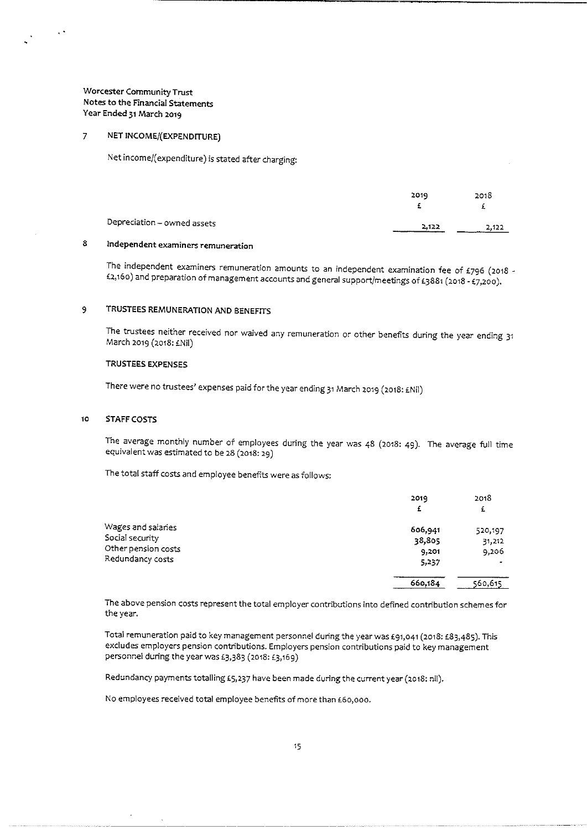$\frac{1}{2}$  and  $\frac{1}{2}$ 

#### $\overline{7}$ NET INCOME/(EXPENDITURE)

Net income/(expenditure) is stated after charging:

|                             | 2019   | 2018  |
|-----------------------------|--------|-------|
| Depreciation - owned assets | 2.12.2 | 2.122 |

### 8 Independent examiners remuneration

The independent examiners remuneration amounts to an independent examination fee of £796 (2018 -<br>£2,160) and preparation of management accounts and general support/meetings of £3881 (2018 - £7,200).

#### 9 TRUSTEES REMUNERATION AND BENEFITS

The trustees neither received nor waived any remuneration or other benefits during the year ending <sup>31</sup> March 2019 (2018: £Nil)

#### TRUSTEES EXPENSES

There were no trustees' expenses paid for the year ending 31 March 2019 (2018: £Nil)

#### 10 STAFF COSTS

The average monthly number of employees during the year was 48 (2018: 49). The average full time equivalent was estimated to be 28 (2o18: 29)

The total staff costs and employee benefits were as follows:

|                     | 2019    | 2018    |
|---------------------|---------|---------|
|                     | £       | £       |
| Wages and salaries  | 606,941 | 520,197 |
| Social security     | 38,805  | 31,212  |
| Other pension costs | 9.201   | 9,206   |
| Redundancy costs    | 5,237   |         |
|                     | 660,184 | 560,615 |

The above pension costs represent the total employer contributions into defined contribution schemes for the year.

Total remuneration paid to key management personnel during the year was £91,041 (2018: £83,485). This excludes employers pension contributions. Employers pension contributions paid to key management personnel during the year was £3,383 (2018: £3,169)

Redundancy payments totalling £5,237 have been made during the current year (2018: nil).

No employees received total employee benefits of more than £60,000.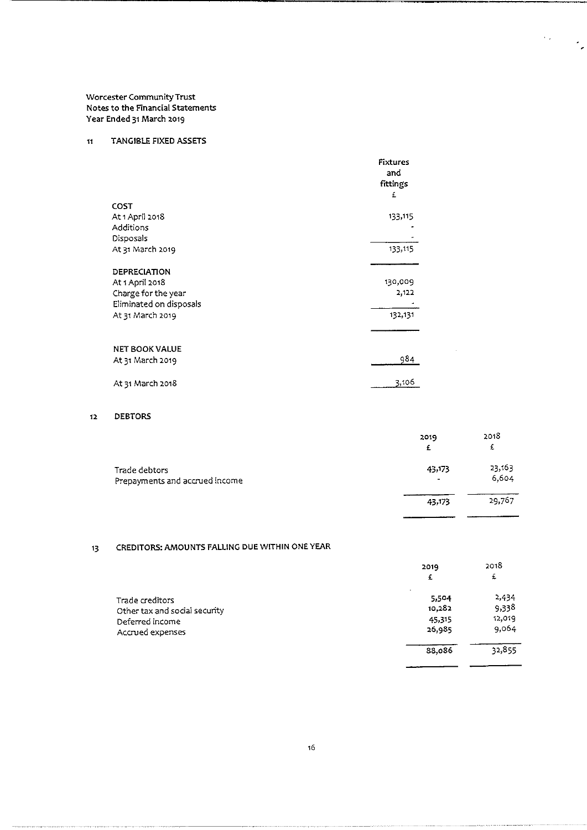#### n TANGIBLE FIXED ASSETS

|                                 | <b>Fixtures</b><br>and<br>fittings<br>£ |
|---------------------------------|-----------------------------------------|
| COST                            |                                         |
| At 1 April 2018                 | 133,115                                 |
| Additions                       |                                         |
| Disposals                       |                                         |
| At 31 March 2019                | 133,115                                 |
| DEPRECIATION<br>At 1 April 2018 | 130,009                                 |
| Charge for the year             | 2,122                                   |
| Eliminated on disposals         |                                         |
| At 31 March 2019                | 132,131                                 |
|                                 |                                         |
|                                 |                                         |
| <b>NET BOOK VALUE</b>           |                                         |
| At 31 March 2019                | 984                                     |
| At 31 March 2018                | 3,106                                   |

#### ia DEBTORS

|                                                 | 2019<br>£   | 2018<br>£       |
|-------------------------------------------------|-------------|-----------------|
| Trade debtors<br>Prepayments and accrued income | 43,173<br>۰ | 23,163<br>6,604 |
|                                                 | 43,173      | 29,767          |

÷,

۰.

### 13 CREDITORS: AMOUNTS FALLING DUE WITHIN ONE YEAR

| 2019                              | 2018   |
|-----------------------------------|--------|
| £                                 | £      |
| $\overline{\phantom{a}}$<br>5.504 | 2,434  |
| 10,282                            | 9,338  |
| 45,315                            | 12,019 |
| 26,935                            | 9,064  |
| 88,086                            | 32,855 |
|                                   |        |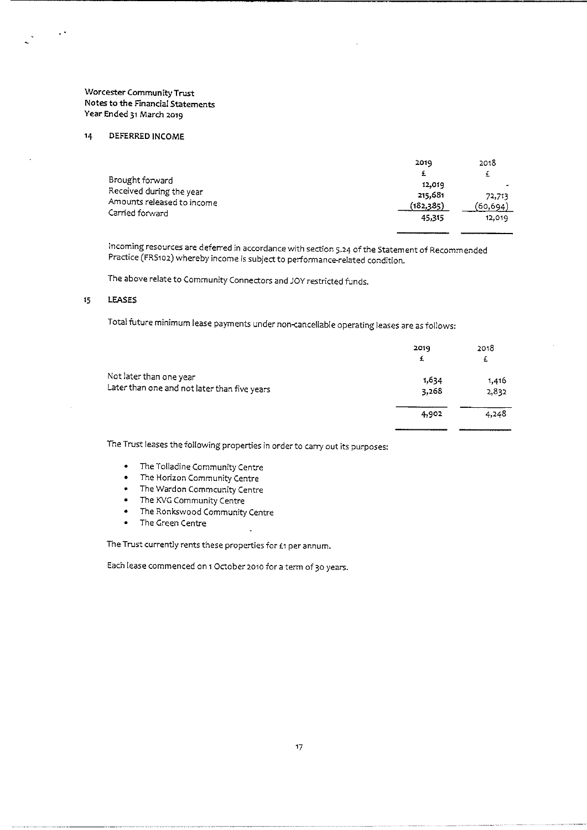#### $14$ DEFERRED INCOME

 $\epsilon$  .

|                            | 2019      | 2018     |
|----------------------------|-----------|----------|
|                            | £         | ±.       |
| Brought forward            | 12,019    |          |
| Received during the year   | 215,681   | 72,713   |
| Amounts released to income | (182,385) | (60,694) |
| Carried forward            | 45,315    | 12,019   |

incoming resources are deterred in accordance with section 5.<sup>24</sup> of the Statement of Recommended Practice (FRS102) whereby income is subject to performance-related condition.

The above relate to Community Connectors and JOY restricted funds.

#### 15 LEASES

Total future minimum lease payments under non-cancellable operating leases are as follows:

|                                              | 2019<br>£ | 2018<br>£ |
|----------------------------------------------|-----------|-----------|
| Not later than one year                      | 1,634     | 1,416     |
| Later than one and not later than five years | 3,268     | 2,832     |
|                                              | 4,902     | 4,248     |
|                                              |           |           |

The Trust leases the following properties in order to carry out its purposes:

- <sup>~</sup> The Tolladine Community Centre
- <sup>~</sup> The Horizon Community Centre
- <sup>~</sup> The Wardon Commcunity Centre
- ~ The KVG Communicy Centre
- The Ronkswood Community Centre<br>• The Green Centre
- ~ The Creen Centre

The Trust currently rents these properties for £1 per annum.

Each lease commenced on <sup>1</sup> October zoto fora term of 3o years.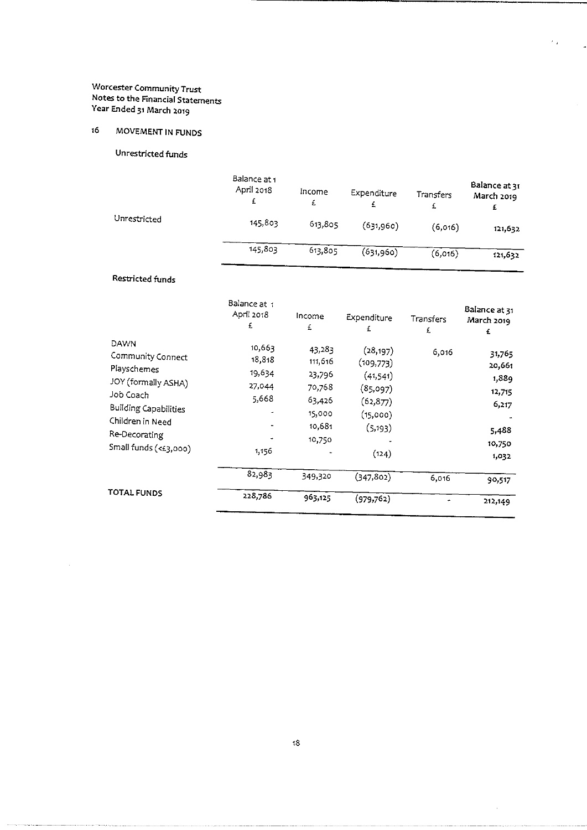## 16 MOVEMENT IN FUNDS

Unrestricted funds

|                  | Balance at 1<br>April 2018<br>£         | Income<br>£ | Expenditure<br>£            | Transfers<br>£ | Balance at 31<br>March 2019<br>£ |
|------------------|-----------------------------------------|-------------|-----------------------------|----------------|----------------------------------|
| Unrestricted     | 145,803                                 | 613,805     | (631,960)                   | (6,016)        | 121,632                          |
|                  | 145,803                                 | 613,805     | (631,960)                   | (6,016)        | 121,632                          |
| Restricted funds |                                         |             |                             |                |                                  |
|                  | Balance at 1<br>א <del>ו</del> מל Anril | ممصطفا      | The same search of the con- |                | Balance at 31                    |

 $\epsilon_{\rm 0}$  .

 $\ddot{\phantom{0}}$ 

 $\hat{\mathcal{A}}$ 

|                                                                                                                                                                            | April 2018<br>£                                        | Income<br>£                                                                   | Expenditure<br>£                                                                             | Transfers<br>£ | PULLING OL 11<br>March 2019<br>£                                         |
|----------------------------------------------------------------------------------------------------------------------------------------------------------------------------|--------------------------------------------------------|-------------------------------------------------------------------------------|----------------------------------------------------------------------------------------------|----------------|--------------------------------------------------------------------------|
| DAWN<br>Community Connect<br>Playschemes<br>JOY (formally ASHA)<br>Job Coach<br><b>Building Capabilities</b><br>Children in Need<br>Re-Decorating<br>Small funds (<£3,000) | 10,667<br>18,818<br>19,634<br>27.044<br>5.668<br>1,156 | 43,283<br>111,616<br>23,796<br>70,768<br>63,426<br>15,000<br>10,681<br>10,750 | (28, 197)<br>(109,773)<br>(41,541)<br>(85,097)<br>(62, 877)<br>(15,000)<br>(5, 193)<br>(124) | 6,016          | 31.765<br>20,661<br>1,889<br>12,715<br>6,217<br>5,488<br>10,750<br>1,032 |
|                                                                                                                                                                            | 82,983                                                 | 349,320                                                                       | (347, 802)                                                                                   | 6.016          | 90,517                                                                   |
| <b>TOTAL FUNDS</b>                                                                                                                                                         | 228,786                                                | 963,125                                                                       | (979, 762)                                                                                   |                | 212,149                                                                  |

 $\hat{\boldsymbol{\beta}}$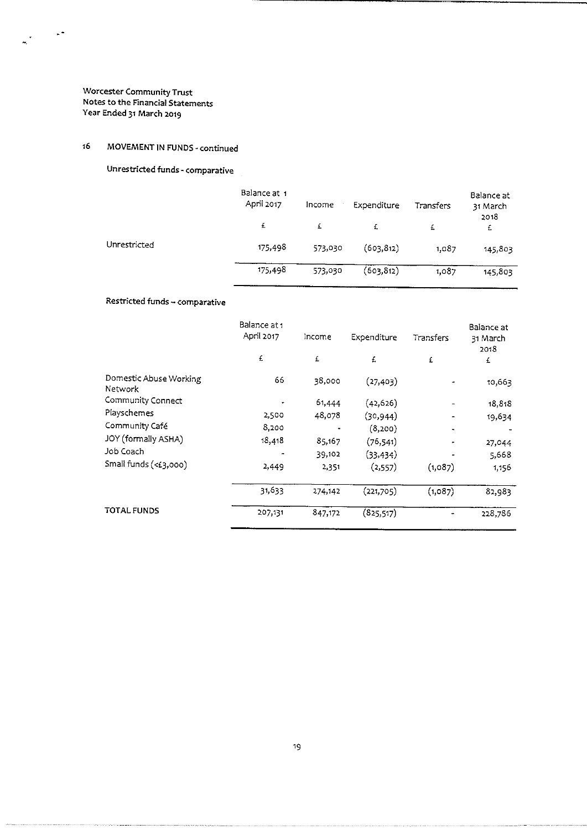$\frac{1}{\left|\mathbf{a}\right|}\left|\frac{1}{\left|\mathbf{a}\right|}\right|$ 

## 16 MOVEMENT IN FUNDS - continued

Unrestricted funds - comparative

|              | Balance at 1<br>April 2017 | Income  | Expenditure | Transfers | Balance at<br>31 March<br>2018 |
|--------------|----------------------------|---------|-------------|-----------|--------------------------------|
|              | £                          | £       | £           | £         | £                              |
| Unrestricted | 175,498                    | 573,030 | (603, 812)  | 1,087     | 145,803                        |
|              | 175,498                    | 573,030 | (603,812)   | 1,087     | 145,803                        |

## Restricted funds —comparative

| Balance at 1<br>April 2017 | Income  | Expenditure | Transfers      | Balance at<br>31 March<br>2018 |
|----------------------------|---------|-------------|----------------|--------------------------------|
| £                          | £       | £           | £              | £                              |
| 66                         | 38,000  | (27, 403)   |                | 10,663                         |
|                            | 61,444  | (42, 626)   | $\blacksquare$ | 18,818                         |
| 2,500                      | 48,078  | (30, 944)   |                | 19,634                         |
| 8,200                      |         | (8,200)     |                |                                |
| 18,418                     | 85,167  | (76, 541)   |                | 27,044                         |
|                            | 39,102  | (33, 434)   | $\bullet$      | 5,668                          |
| 2,449                      | 2,351   | (2, 557)    | (1,087)        | 1.150                          |
| 31,633                     | 274,142 | (221,705)   | (1,087)        | 82,983                         |
| 207,131                    | 847,172 | (825, 517)  |                | 228,786                        |
|                            |         |             |                |                                |